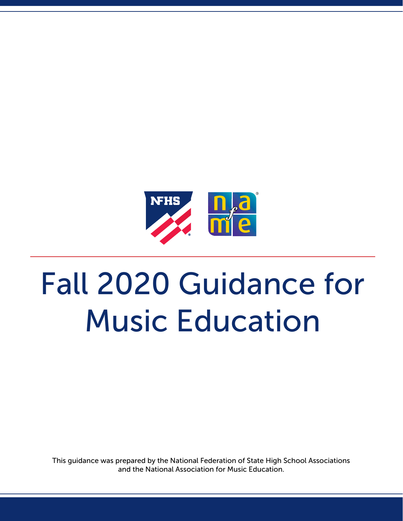

# Fall 2020 Guidance for Music Education

This guidance was prepared by the National Federation of State High School Associations and the National Association for Music Education.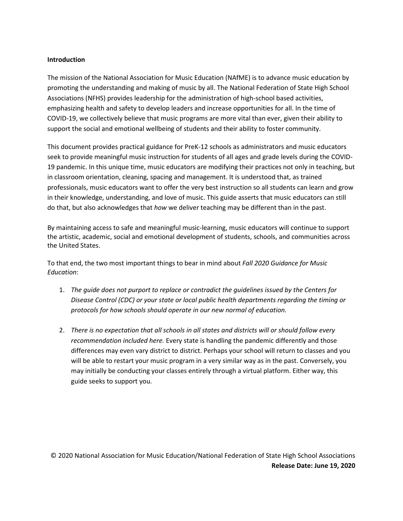## **Introduction**

The mission of the National Association for Music Education (NAfME) is to advance music education by promoting the understanding and making of music by all. The National Federation of State High School Associations (NFHS) provides leadership for the administration of high-school based activities, emphasizing health and safety to develop leaders and increase opportunities for all. In the time of COVID-19, we collectively believe that music programs are more vital than ever, given their ability to support the social and emotional wellbeing of students and their ability to foster community.

This document provides practical guidance for PreK-12 schools as administrators and music educators seek to provide meaningful music instruction for students of all ages and grade levels during the COVID-19 pandemic. In this unique time, music educators are modifying their practices not only in teaching, but in classroom orientation, cleaning, spacing and management. It is understood that, as trained professionals, music educators want to offer the very best instruction so all students can learn and grow in their knowledge, understanding, and love of music. This guide asserts that music educators can still do that, but also acknowledges that *how* we deliver teaching may be different than in the past.

By maintaining access to safe and meaningful music-learning, music educators will continue to support the artistic, academic, social and emotional development of students, schools, and communities across the United States.

To that end, the two most important things to bear in mind about *Fall 2020 Guidance for Music Education*:

- 1. *The guide does not purport to replace or contradict the guidelines issued by the Centers for Disease Control (CDC) or your state or local public health departments regarding the timing or protocols for how schools should operate in our new normal of education.*
- 2. *There is no expectation that all schools in all states and districts will or should follow every recommendation included here.* Every state is handling the pandemic differently and those differences may even vary district to district. Perhaps your school will return to classes and you will be able to restart your music program in a very similar way as in the past. Conversely, you may initially be conducting your classes entirely through a virtual platform. Either way, this guide seeks to support you.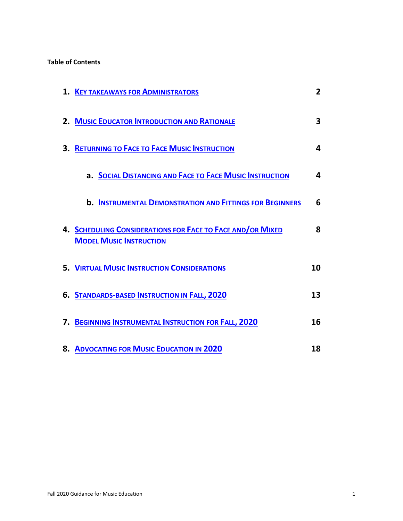## **Table of Contents**

| <b>1. KEY TAKEAWAYS FOR ADMINISTRATORS</b>                                                   | $\overline{2}$ |
|----------------------------------------------------------------------------------------------|----------------|
| 2. MUSIC EDUCATOR INTRODUCTION AND RATIONALE                                                 | 3              |
| <b>3. RETURNING TO FACE TO FACE MUSIC INSTRUCTION</b>                                        | 4              |
| a. SOCIAL DISTANCING AND FACE TO FACE MUSIC INSTRUCTION                                      | 4              |
| <b>b. INSTRUMENTAL DEMONSTRATION AND FITTINGS FOR BEGINNERS</b>                              | 6              |
| 4. SCHEDULING CONSIDERATIONS FOR FACE TO FACE AND/OR MIXED<br><b>MODEL MUSIC INSTRUCTION</b> | 8              |
| <b>5. VIRTUAL MUSIC INSTRUCTION CONSIDERATIONS</b>                                           | 10             |
| 6. STANDARDS-BASED INSTRUCTION IN FALL, 2020                                                 | 13             |
| 7. BEGINNING INSTRUMENTAL INSTRUCTION FOR FALL, 2020                                         | 16             |
| 8. ADVOCATING FOR MUSIC EDUCATION IN 2020                                                    | 18             |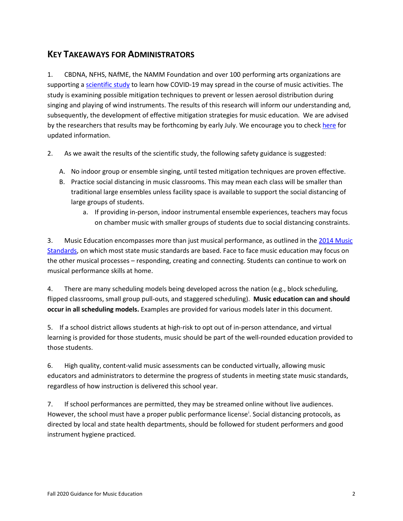## <span id="page-3-0"></span>**KEY TAKEAWAYS FOR ADMINISTRATORS**

1. CBDNA, NFHS, NAfME, the NAMM Foundation and over 100 performing arts organizations are supporting [a scientific study](https://www.nfhs.org/articles/unprecedented-international-coalition-led-by-performing-arts-organizations-to-commission-covid-19-study/) to learn how COVID-19 may spread in the course of music activities. The study is examining possible mitigation techniques to prevent or lessen aerosol distribution during singing and playing of wind instruments. The results of this research will inform our understanding and, subsequently, the development of effective mitigation strategies for music education. We are advised by the researchers that results may be forthcoming by early July. We encourage you to check [here](https://www.nfhs.org/articles/unprecedented-international-coalition-led-by-performing-arts-organizations-to-commission-covid-19-study/) for updated information.

- 2. As we await the results of the scientific study, the following safety guidance is suggested:
	- A. No indoor group or ensemble singing, until tested mitigation techniques are proven effective.
	- B. Practice social distancing in music classrooms. This may mean each class will be smaller than traditional large ensembles unless facility space is available to support the social distancing of large groups of students.
		- a. If providing in-person, indoor instrumental ensemble experiences, teachers may focus on chamber music with smaller groups of students due to social distancing constraints.

3. Music Education encompasses more than just musical performance, as outlined in the 2014 Music [Standards,](https://nafme.org/my-classroom/standards/core-music-standards/) on which most state music standards are based. Face to face music education may focus on the other musical processes – responding, creating and connecting. Students can continue to work on musical performance skills at home.

4. There are many scheduling models being developed across the nation (e.g., block scheduling, flipped classrooms, small group pull-outs, and staggered scheduling). **Music education can and should occur in all scheduling models.** Examples are provided for various models later in this document.

5. If a school district allows students at high-risk to opt out of in-person attendance, and virtual learning is provided for those students, music should be part of the well-rounded education provided to those students.

6. High quality, content-valid music assessments can be conducted virtually, allowing music educators and administrators to determine the progress of students in meeting state music standards, regardless of how instruction is delivered this school year.

7. If school performances are permitted, they may be streamed online without live audiences. However, the school must have a proper publ[i](#page-20-0)c performance license<sup>i</sup>. Social distancing protocols, as directed by local and state health departments, should be followed for student performers and good instrument hygiene practiced.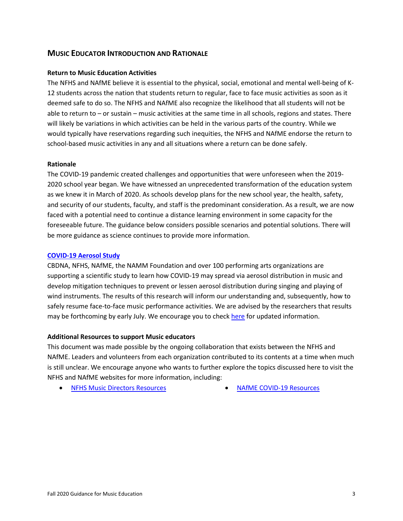## <span id="page-4-0"></span>**MUSIC EDUCATOR INTRODUCTION AND RATIONALE**

## **Return to Music Education Activities**

The NFHS and NAfME believe it is essential to the physical, social, emotional and mental well-being of K-12 students across the nation that students return to regular, face to face music activities as soon as it deemed safe to do so. The NFHS and NAfME also recognize the likelihood that all students will not be able to return to – or sustain – music activities at the same time in all schools, regions and states. There will likely be variations in which activities can be held in the various parts of the country. While we would typically have reservations regarding such inequities, the NFHS and NAfME endorse the return to school-based music activities in any and all situations where a return can be done safely.

#### **Rationale**

The COVID-19 pandemic created challenges and opportunities that were unforeseen when the 2019- 2020 school year began. We have witnessed an unprecedented transformation of the education system as we knew it in March of 2020. As schools develop plans for the new school year, the health, safety, and security of our students, faculty, and staff is the predominant consideration. As a result, we are now faced with a potential need to continue a distance learning environment in some capacity for the foreseeable future. The guidance below considers possible scenarios and potential solutions. There will be more guidance as science continues to provide more information.

#### **[COVID-19 Aerosol Study](https://www.nfhs.org/articles/unprecedented-international-coalition-led-by-performing-arts-organizations-to-commission-covid-19-study/)**

CBDNA, NFHS, NAfME, the NAMM Foundation and over 100 performing arts organizations are supporting a scientific study to learn how COVID-19 may spread via aerosol distribution in music and develop mitigation techniques to prevent or lessen aerosol distribution during singing and playing of wind instruments. The results of this research will inform our understanding and, subsequently, how to safely resume face-to-face music performance activities. We are advised by the researchers that results may be forthcoming by early July. We encourage you to check [here](https://www.nfhs.org/articles/unprecedented-international-coalition-led-by-performing-arts-organizations-to-commission-covid-19-study/) for updated information.

#### **Additional Resources to support Music educators**

This document was made possible by the ongoing collaboration that exists between the NFHS and NAfME. Leaders and volunteers from each organization contributed to its contents at a time when much is still unclear. We encourage anyone who wants to further explore the topics discussed here to visit the NFHS and NAfME websites for more information, including:

- [NFHS Music Directors Resources](https://www.nfhs.org/activities-sports/music/) [NAfME COVID-19 Resources](https://nafme.org/covid-19/)
-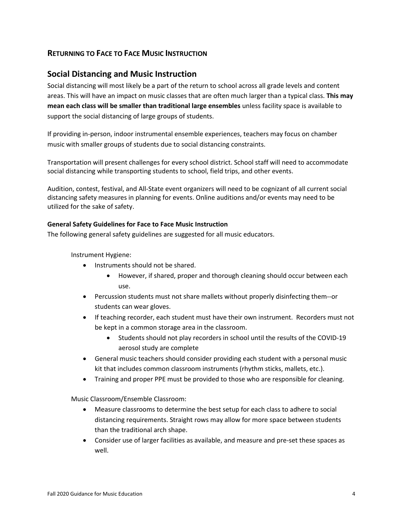## <span id="page-5-0"></span>**RETURNING TO FACE TO FACE MUSIC INSTRUCTION**

## <span id="page-5-1"></span>**Social Distancing and Music Instruction**

Social distancing will most likely be a part of the return to school across all grade levels and content areas. This will have an impact on music classes that are often much larger than a typical class. **This may mean each class will be smaller than traditional large ensembles** unless facility space is available to support the social distancing of large groups of students.

If providing in-person, indoor instrumental ensemble experiences, teachers may focus on chamber music with smaller groups of students due to social distancing constraints.

Transportation will present challenges for every school district. School staff will need to accommodate social distancing while transporting students to school, field trips, and other events.

Audition, contest, festival, and All-State event organizers will need to be cognizant of all current social distancing safety measures in planning for events. Online auditions and/or events may need to be utilized for the sake of safety.

## **General Safety Guidelines for Face to Face Music Instruction**

The following general safety guidelines are suggested for all music educators.

Instrument Hygiene:

- Instruments should not be shared.
	- However, if shared, proper and thorough cleaning should occur between each use.
- Percussion students must not share mallets without properly disinfecting them--or students can wear gloves.
- If teaching recorder, each student must have their own instrument. Recorders must not be kept in a common storage area in the classroom.
	- Students should not play recorders in school until the results of the COVID-19 aerosol study are complete
- General music teachers should consider providing each student with a personal music kit that includes common classroom instruments (rhythm sticks, mallets, etc.).
- Training and proper PPE must be provided to those who are responsible for cleaning.

Music Classroom/Ensemble Classroom:

- Measure classrooms to determine the best setup for each class to adhere to social distancing requirements. Straight rows may allow for more space between students than the traditional arch shape.
- Consider use of larger facilities as available, and measure and pre-set these spaces as well.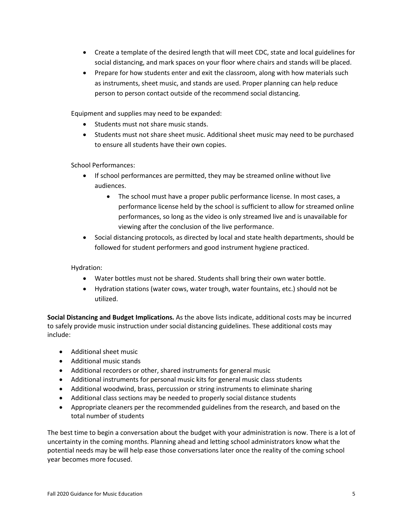- Create a template of the desired length that will meet CDC, state and local guidelines for social distancing, and mark spaces on your floor where chairs and stands will be placed.
- Prepare for how students enter and exit the classroom, along with how materials such as instruments, sheet music, and stands are used. Proper planning can help reduce person to person contact outside of the recommend social distancing.

Equipment and supplies may need to be expanded:

- Students must not share music stands.
- Students must not share sheet music. Additional sheet music may need to be purchased to ensure all students have their own copies.

School Performances:

- If school performances are permitted, they may be streamed online without live audiences.
	- The school must have a proper public performance license. In most cases, a performance license held by the school is sufficient to allow for streamed online performances, so long as the video is only streamed live and is unavailable for viewing after the conclusion of the live performance.
- Social distancing protocols, as directed by local and state health departments, should be followed for student performers and good instrument hygiene practiced.

Hydration:

- Water bottles must not be shared. Students shall bring their own water bottle.
- Hydration stations (water cows, water trough, water fountains, etc.) should not be utilized.

**Social Distancing and Budget Implications.** As the above lists indicate, additional costs may be incurred to safely provide music instruction under social distancing guidelines. These additional costs may include:

- Additional sheet music
- Additional music stands
- Additional recorders or other, shared instruments for general music
- Additional instruments for personal music kits for general music class students
- Additional woodwind, brass, percussion or string instruments to eliminate sharing
- Additional class sections may be needed to properly social distance students
- Appropriate cleaners per the recommended guidelines from the research, and based on the total number of students

The best time to begin a conversation about the budget with your administration is now. There is a lot of uncertainty in the coming months. Planning ahead and letting school administrators know what the potential needs may be will help ease those conversations later once the reality of the coming school year becomes more focused.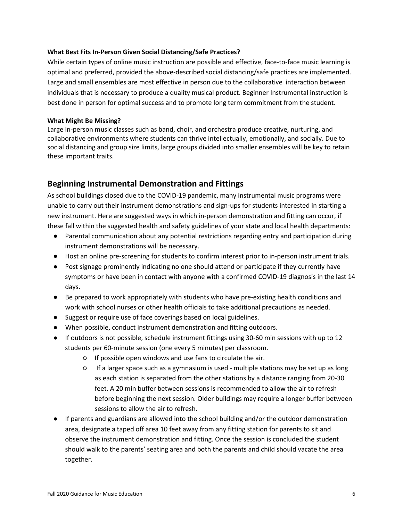#### **What Best Fits In-Person Given Social Distancing/Safe Practices?**

While certain types of online music instruction are possible and effective, face-to-face music learning is optimal and preferred, provided the above-described social distancing/safe practices are implemented. Large and small ensembles are most effective in person due to the collaborative interaction between individuals that is necessary to produce a quality musical product. Beginner Instrumental instruction is best done in person for optimal success and to promote long term commitment from the student.

#### **What Might Be Missing?**

Large in-person music classes such as band, choir, and orchestra produce creative, nurturing, and collaborative environments where students can thrive intellectually, emotionally, and socially. Due to social distancing and group size limits, large groups divided into smaller ensembles will be key to retain these important traits.

## <span id="page-7-0"></span>**Beginning Instrumental Demonstration and Fittings**

As school buildings closed due to the COVID-19 pandemic, many instrumental music programs were unable to carry out their instrument demonstrations and sign-ups for students interested in starting a new instrument. Here are suggested ways in which in-person demonstration and fitting can occur, if these fall within the suggested health and safety guidelines of your state and local health departments:

- Parental communication about any potential restrictions regarding entry and participation during instrument demonstrations will be necessary.
- Host an online pre-screening for students to confirm interest prior to in-person instrument trials.
- Post signage prominently indicating no one should attend or participate if they currently have symptoms or have been in contact with anyone with a confirmed COVID-19 diagnosis in the last 14 days.
- Be prepared to work appropriately with students who have pre-existing health conditions and work with school nurses or other health officials to take additional precautions as needed.
- Suggest or require use of face coverings based on local guidelines.
- When possible, conduct instrument demonstration and fitting outdoors.
- If outdoors is not possible, schedule instrument fittings using 30-60 min sessions with up to 12 students per 60-minute session (one every 5 minutes) per classroom.
	- If possible open windows and use fans to circulate the air.
	- If a larger space such as a gymnasium is used multiple stations may be set up as long as each station is separated from the other stations by a distance ranging from 20-30 feet. A 20 min buffer between sessions is recommended to allow the air to refresh before beginning the next session. Older buildings may require a longer buffer between sessions to allow the air to refresh.
- If parents and guardians are allowed into the school building and/or the outdoor demonstration area, designate a taped off area 10 feet away from any fitting station for parents to sit and observe the instrument demonstration and fitting. Once the session is concluded the student should walk to the parents' seating area and both the parents and child should vacate the area together.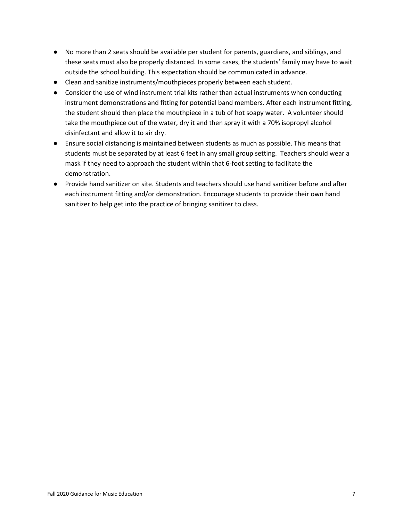- No more than 2 seats should be available per student for parents, guardians, and siblings, and these seats must also be properly distanced. In some cases, the students' family may have to wait outside the school building. This expectation should be communicated in advance.
- Clean and sanitize instruments/mouthpieces properly between each student.
- Consider the use of wind instrument trial kits rather than actual instruments when conducting instrument demonstrations and fitting for potential band members. After each instrument fitting, the student should then place the mouthpiece in a tub of hot soapy water. A volunteer should take the mouthpiece out of the water, dry it and then spray it with a 70% isopropyl alcohol disinfectant and allow it to air dry.
- Ensure social distancing is maintained between students as much as possible. This means that students must be separated by at least 6 feet in any small group setting. Teachers should wear a mask if they need to approach the student within that 6-foot setting to facilitate the demonstration.
- Provide hand sanitizer on site. Students and teachers should use hand sanitizer before and after each instrument fitting and/or demonstration. Encourage students to provide their own hand sanitizer to help get into the practice of bringing sanitizer to class.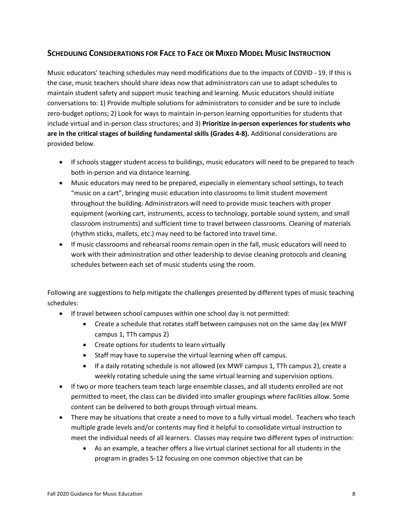## <span id="page-9-0"></span>**SCHEDULING CONSIDERATIONS FOR FACE TO FACE OR MIXED MODEL MUSIC INSTRUCTION**

Music educators' teaching schedules may need modifications due to the impacts of COVID - 19. If this is the case, music teachers should share ideas now that administrators can use to adapt schedules to maintain student safety and support music teaching and learning. Music educators should initiate conversations to: 1) Provide multiple solutions for administrators to consider and be sure to include zero-budget options; 2) Look for ways to maintain in-person learning opportunities for students that include virtual and in-person class structures; and 3) **Prioritize in-person experiences for students who are in the critical stages of building fundamental skills (Grades 4-8).** Additional considerations are provided below.

- If schools stagger student access to buildings, music educators will need to be prepared to teach both in-person and via distance learning.
- Music educators may need to be prepared, especially in elementary school settings, to teach "music on a cart", bringing music education into classrooms to limit student movement throughout the building. Administrators will need to provide music teachers with proper equipment (working cart, instruments, access to technology, portable sound system, and small classroom instruments) and sufficient time to travel between classrooms. Cleaning of materials (rhythm sticks, mallets, etc.) may need to be factored into travel time.
- If music classrooms and rehearsal rooms remain open in the fall, music educators will need to work with their administration and other leadership to devise cleaning protocols and cleaning schedules between each set of music students using the room.

Following are suggestions to help mitigate the challenges presented by different types of music teaching schedules:

- If travel between school campuses within one school day is not permitted:
	- Create a schedule that rotates staff between campuses not on the same day (ex MWF campus 1, TTh campus 2)
	- Create options for students to learn virtually
	- Staff may have to supervise the virtual learning when off campus.
	- If a daily rotating schedule is not allowed (ex MWF campus 1, TTh campus 2), create a weekly rotating schedule using the same virtual learning and supervision options.
- If two or more teachers team teach large ensemble classes, and all students enrolled are not permitted to meet, the class can be divided into smaller groupings where facilities allow. Some content can be delivered to both groups through virtual means.
- There may be situations that create a need to move to a fully virtual model. Teachers who teach multiple grade levels and/or contents may find it helpful to consolidate virtual instruction to meet the individual needs of all learners. Classes may require two different types of instruction:
	- As an example, a teacher offers a live virtual clarinet sectional for all students in the program in grades 5-12 focusing on one common objective that can be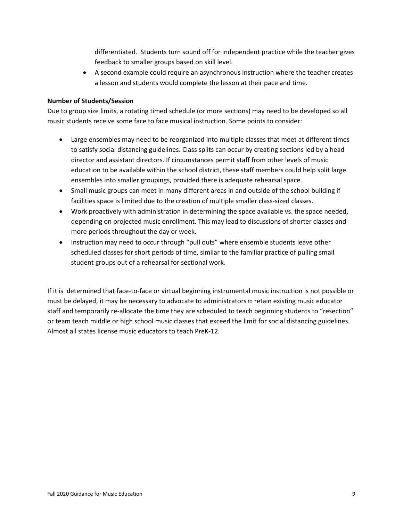differentiated. Students turn sound off for independent practice while the teacher gives feedback to smaller groups based on skill level.

• A second example could require an asynchronous instruction where the teacher creates a lesson and students would complete the lesson at their pace and time.

## **Number of Students/Session**

Due to group size limits, a rotating timed schedule (or more sections) may need to be developed so all music students receive some face to face musical instruction. Some points to consider:

- Large ensembles may need to be reorganized into multiple classes that meet at different times to satisfy social distancing guidelines. Class splits can occur by creating sections led by a head director and assistant directors. If circumstances permit staff from other levels of music education to be available within the school district, these staff members could help split large ensembles into smaller groupings, provided there is adequate rehearsal space.
- Small music groups can meet in many different areas in and outside of the school building if facilities space is limited due to the creation of multiple smaller class-sized classes.
- Work proactively with administration in determining the space available vs. the space needed, depending on projected music enrollment. This may lead to discussions of shorter classes and more periods throughout the day or week.
- Instruction may need to occur through "pull outs" where ensemble students leave other scheduled classes for short periods of time, similar to the familiar practice of pulling small student groups out of a rehearsal for sectional work.

If it is determined that face-to-face or virtual beginning instrumental music instruction is not possible or must be delayed, it may be necessary to advocate to administrators to retain existing music educator staff and temporarily re-allocate the time they are scheduled to teach beginning students to "resection" or team teach middle or high school music classes that exceed the limit for social distancing guidelines. Almost all states license music educators to teach PreK-12.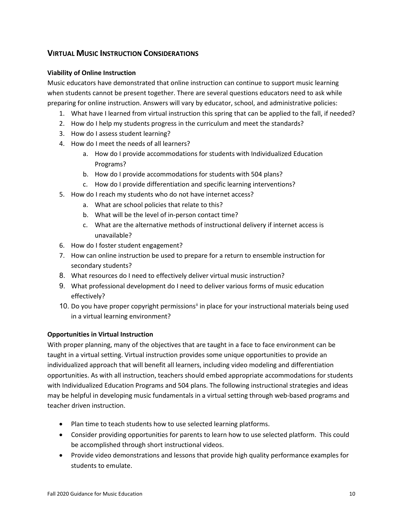## <span id="page-11-0"></span>**VIRTUAL MUSIC INSTRUCTION CONSIDERATIONS**

## **Viability of Online Instruction**

Music educators have demonstrated that online instruction can continue to support music learning when students cannot be present together. There are several questions educators need to ask while preparing for online instruction. Answers will vary by educator, school, and administrative policies:

- 1. What have I learned from virtual instruction this spring that can be applied to the fall, if needed?
- 2. How do I help my students progress in the curriculum and meet the standards?
- 3. How do I assess student learning?
- 4. How do I meet the needs of all learners?
	- a. How do I provide accommodations for students with Individualized Education Programs?
	- b. How do I provide accommodations for students with 504 plans?
	- c. How do I provide differentiation and specific learning interventions?
- 5. How do I reach my students who do not have internet access?
	- a. What are school policies that relate to this?
	- b. What will be the level of in-person contact time?
	- c. What are the alternative methods of instructional delivery if internet access is unavailable?
- 6. How do I foster student engagement?
- 7. How can online instruction be used to prepare for a return to ensemble instruction for secondary students?
- 8. What resources do I need to effectively deliver virtual music instruction?
- 9. What professional development do I need to deliver various forms of music education effectively?
- 10. Do you have proper copyright permissions<sup>[ii](#page-20-1)</sup> in place for your instructional materials being used in a virtual learning environment?

## **Opportunities in Virtual Instruction**

With proper planning, many of the objectives that are taught in a face to face environment can be taught in a virtual setting. Virtual instruction provides some unique opportunities to provide an individualized approach that will benefit all learners, including video modeling and differentiation opportunities. As with all instruction, teachers should embed appropriate accommodations for students with Individualized Education Programs and 504 plans. The following instructional strategies and ideas may be helpful in developing music fundamentals in a virtual setting through web-based programs and teacher driven instruction.

- Plan time to teach students how to use selected learning platforms.
- Consider providing opportunities for parents to learn how to use selected platform. This could be accomplished through short instructional videos.
- Provide video demonstrations and lessons that provide high quality performance examples for students to emulate.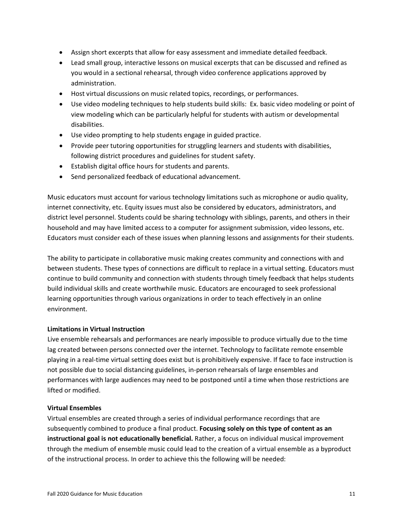- Assign short excerpts that allow for easy assessment and immediate detailed feedback.
- Lead small group, interactive lessons on musical excerpts that can be discussed and refined as you would in a sectional rehearsal, through video conference applications approved by administration.
- Host virtual discussions on music related topics, recordings, or performances.
- Use video modeling techniques to help students build skills: Ex. basic video modeling or point of view modeling which can be particularly helpful for students with autism or developmental disabilities.
- Use video prompting to help students engage in guided practice.
- Provide peer tutoring opportunities for struggling learners and students with disabilities, following district procedures and guidelines for student safety.
- Establish digital office hours for students and parents.
- Send personalized feedback of educational advancement.

Music educators must account for various technology limitations such as microphone or audio quality, internet connectivity, etc. Equity issues must also be considered by educators, administrators, and district level personnel. Students could be sharing technology with siblings, parents, and others in their household and may have limited access to a computer for assignment submission, video lessons, etc. Educators must consider each of these issues when planning lessons and assignments for their students.

The ability to participate in collaborative music making creates community and connections with and between students. These types of connections are difficult to replace in a virtual setting. Educators must continue to build community and connection with students through timely feedback that helps students build individual skills and create worthwhile music. Educators are encouraged to seek professional learning opportunities through various organizations in order to teach effectively in an online environment.

## **Limitations in Virtual Instruction**

Live ensemble rehearsals and performances are nearly impossible to produce virtually due to the time lag created between persons connected over the internet. Technology to facilitate remote ensemble playing in a real-time virtual setting does exist but is prohibitively expensive. If face to face instruction is not possible due to social distancing guidelines, in-person rehearsals of large ensembles and performances with large audiences may need to be postponed until a time when those restrictions are lifted or modified.

## **Virtual Ensembles**

Virtual ensembles are created through a series of individual performance recordings that are subsequently combined to produce a final product. **Focusing solely on this type of content as an instructional goal is not educationally beneficial.** Rather, a focus on individual musical improvement through the medium of ensemble music could lead to the creation of a virtual ensemble as a byproduct of the instructional process. In order to achieve this the following will be needed: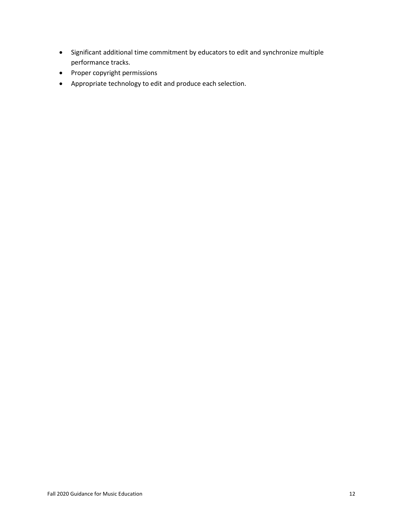- Significant additional time commitment by educators to edit and synchronize multiple performance tracks.
- Proper copyright permissions
- Appropriate technology to edit and produce each selection.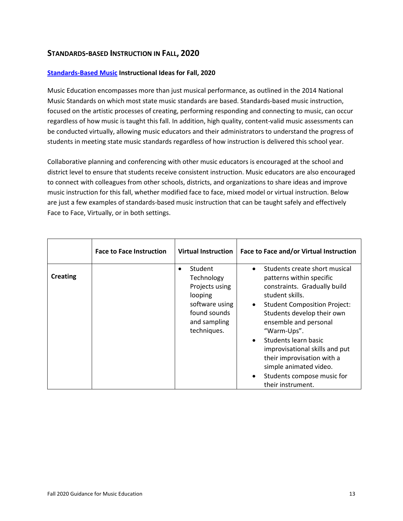## <span id="page-14-0"></span>**STANDARDS-BASED INSTRUCTION IN FALL, 2020**

## **[Standards-Based Music](https://nafme.org/overview-of-2014-music-standards/) Instructional Ideas for Fall, 2020**

Music Education encompasses more than just musical performance, as outlined in the 2014 National Music Standards on which most state music standards are based. Standards-based music instruction, focused on the artistic processes of creating, performing responding and connecting to music, can occur regardless of how music is taught this fall. In addition, high quality, content-valid music assessments can be conducted virtually, allowing music educators and their administrators to understand the progress of students in meeting state music standards regardless of how instruction is delivered this school year.

Collaborative planning and conferencing with other music educators is encouraged at the school and district level to ensure that students receive consistent instruction. Music educators are also encouraged to connect with colleagues from other schools, districts, and organizations to share ideas and improve music instruction for this fall, whether modified face to face, mixed model or virtual instruction. Below are just a few examples of standards-based music instruction that can be taught safely and effectively Face to Face, Virtually, or in both settings.

|                 | <b>Face to Face Instruction</b> | <b>Virtual Instruction</b>                                                                                                       | Face to Face and/or Virtual Instruction                                                                                                                                                                                                                                                                                                                                                                                               |
|-----------------|---------------------------------|----------------------------------------------------------------------------------------------------------------------------------|---------------------------------------------------------------------------------------------------------------------------------------------------------------------------------------------------------------------------------------------------------------------------------------------------------------------------------------------------------------------------------------------------------------------------------------|
| <b>Creating</b> |                                 | Student<br>$\bullet$<br>Technology<br>Projects using<br>looping<br>software using<br>found sounds<br>and sampling<br>techniques. | Students create short musical<br>patterns within specific<br>constraints. Gradually build<br>student skills.<br><b>Student Composition Project:</b><br>$\bullet$<br>Students develop their own<br>ensemble and personal<br>"Warm-Ups".<br>Students learn basic<br>$\bullet$<br>improvisational skills and put<br>their improvisation with a<br>simple animated video.<br>Students compose music for<br>$\bullet$<br>their instrument. |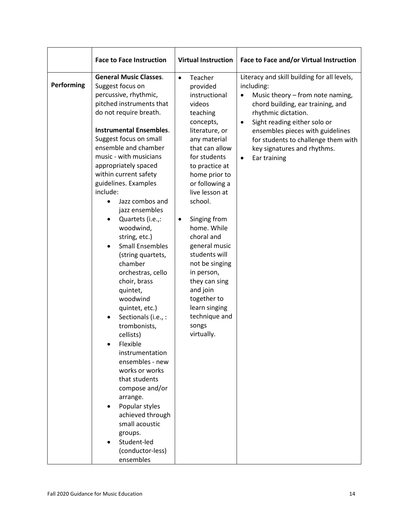| <b>Virtual Instruction</b>                                                                                                                                                                                                                                                                                                                                                                                                                                                  | Face to Face and/or Virtual Instruction                                                                                                                                                                                                                                                                                                                    |
|-----------------------------------------------------------------------------------------------------------------------------------------------------------------------------------------------------------------------------------------------------------------------------------------------------------------------------------------------------------------------------------------------------------------------------------------------------------------------------|------------------------------------------------------------------------------------------------------------------------------------------------------------------------------------------------------------------------------------------------------------------------------------------------------------------------------------------------------------|
| Teacher<br>$\bullet$<br>provided<br>instructional<br>videos<br>teaching<br>concepts,<br>literature, or<br>any material<br>that can allow<br>for students<br>to practice at<br>home prior to<br>or following a<br>live lesson at<br>school.<br>Singing from<br>$\bullet$<br>home. While<br>choral and<br>general music<br>students will<br>not be singing<br>in person,<br>they can sing<br>and join<br>together to<br>learn singing<br>technique and<br>songs<br>virtually. | Literacy and skill building for all levels,<br>including:<br>Music theory - from note naming,<br>$\bullet$<br>chord building, ear training, and<br>rhythmic dictation.<br>Sight reading either solo or<br>$\bullet$<br>ensembles pieces with guidelines<br>for students to challenge them with<br>key signatures and rhythms.<br>Ear training<br>$\bullet$ |
|                                                                                                                                                                                                                                                                                                                                                                                                                                                                             |                                                                                                                                                                                                                                                                                                                                                            |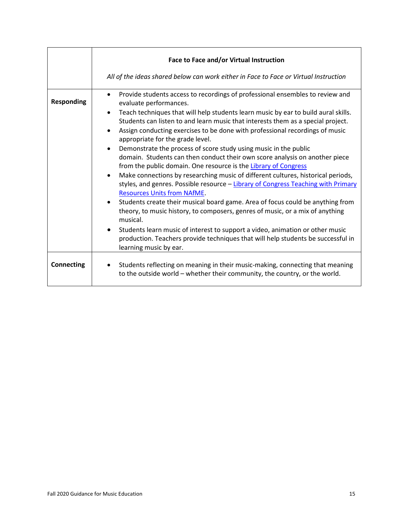|                   | Face to Face and/or Virtual Instruction<br>All of the ideas shared below can work either in Face to Face or Virtual Instruction                                                                                                                                                                                                                                                                                                                                                                                                                                                                                                                                                                                                                                                                                                                                                                                                                                                                                                                                                                                                                                                                                                                                                                        |
|-------------------|--------------------------------------------------------------------------------------------------------------------------------------------------------------------------------------------------------------------------------------------------------------------------------------------------------------------------------------------------------------------------------------------------------------------------------------------------------------------------------------------------------------------------------------------------------------------------------------------------------------------------------------------------------------------------------------------------------------------------------------------------------------------------------------------------------------------------------------------------------------------------------------------------------------------------------------------------------------------------------------------------------------------------------------------------------------------------------------------------------------------------------------------------------------------------------------------------------------------------------------------------------------------------------------------------------|
| <b>Responding</b> | Provide students access to recordings of professional ensembles to review and<br>$\bullet$<br>evaluate performances.<br>Teach techniques that will help students learn music by ear to build aural skills.<br>$\bullet$<br>Students can listen to and learn music that interests them as a special project.<br>Assign conducting exercises to be done with professional recordings of music<br>$\bullet$<br>appropriate for the grade level.<br>Demonstrate the process of score study using music in the public<br>$\bullet$<br>domain. Students can then conduct their own score analysis on another piece<br>from the public domain. One resource is the Library of Congress<br>Make connections by researching music of different cultures, historical periods,<br>$\bullet$<br>styles, and genres. Possible resource - Library of Congress Teaching with Primary<br><b>Resources Units from NAfME.</b><br>Students create their musical board game. Area of focus could be anything from<br>$\bullet$<br>theory, to music history, to composers, genres of music, or a mix of anything<br>musical.<br>Students learn music of interest to support a video, animation or other music<br>production. Teachers provide techniques that will help students be successful in<br>learning music by ear. |
| <b>Connecting</b> | Students reflecting on meaning in their music-making, connecting that meaning<br>to the outside world - whether their community, the country, or the world.                                                                                                                                                                                                                                                                                                                                                                                                                                                                                                                                                                                                                                                                                                                                                                                                                                                                                                                                                                                                                                                                                                                                            |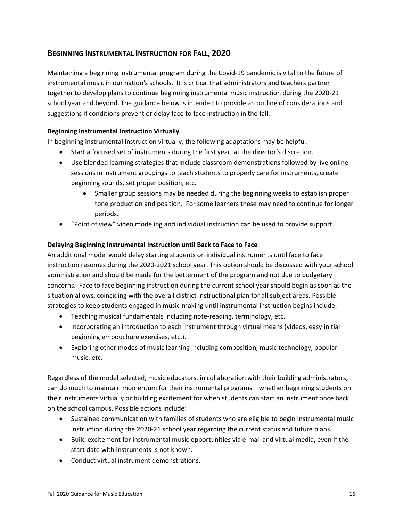## <span id="page-17-0"></span>**BEGINNING INSTRUMENTAL INSTRUCTION FOR FALL, 2020**

Maintaining a beginning instrumental program during the Covid-19 pandemic is vital to the future of instrumental music in our nation's schools. It is critical that administrators and teachers partner together to develop plans to continue beginning instrumental music instruction during the 2020-21 school year and beyond. The guidance below is intended to provide an outline of considerations and suggestions if conditions prevent or delay face to face instruction in the fall.

## **Beginning Instrumental Instruction Virtually**

In beginning instrumental instruction virtually, the following adaptations may be helpful:

- Start a focused set of instruments during the first year, at the director's discretion.
- Use blended learning strategies that include classroom demonstrations followed by live online sessions in instrument groupings to teach students to properly care for instruments, create beginning sounds, set proper position, etc.
	- Smaller group sessions may be needed during the beginning weeks to establish proper tone production and position. For some learners these may need to continue for longer periods.
- "Point of view" video modeling and individual instruction can be used to provide support.

## **Delaying Beginning Instrumental Instruction until Back to Face to Face**

An additional model would delay starting students on individual instruments until face to face instruction resumes during the 2020-2021 school year. This option should be discussed with your school administration and should be made for the betterment of the program and not due to budgetary concerns. Face to face beginning instruction during the current school year should begin as soon as the situation allows, coinciding with the overall district instructional plan for all subject areas. Possible strategies to keep students engaged in music-making until instrumental instruction begins include:

- Teaching musical fundamentals including note-reading, terminology, etc.
- Incorporating an introduction to each instrument through virtual means (videos, easy initial beginning embouchure exercises, etc.).
- Exploring other modes of music learning including composition, music technology, popular music, etc.

Regardless of the model selected, music educators, in collaboration with their building administrators, can do much to maintain momentum for their instrumental programs – whether beginning students on their instruments virtually or building excitement for when students can start an instrument once back on the school campus. Possible actions include:

- Sustained communication with families of students who are eligible to begin instrumental music instruction during the 2020-21 school year regarding the current status and future plans.
- Build excitement for instrumental music opportunities via e-mail and virtual media, even if the start date with instruments is not known.
- Conduct virtual instrument demonstrations.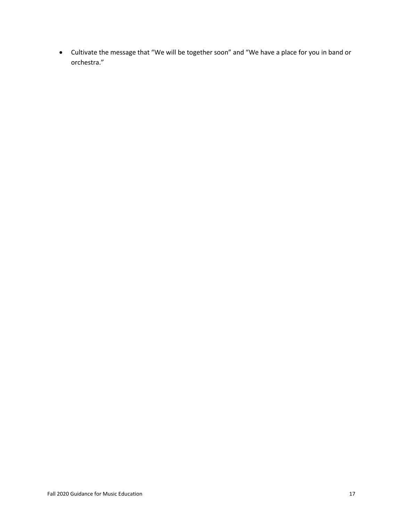• Cultivate the message that "We will be together soon" and "We have a place for you in band or orchestra."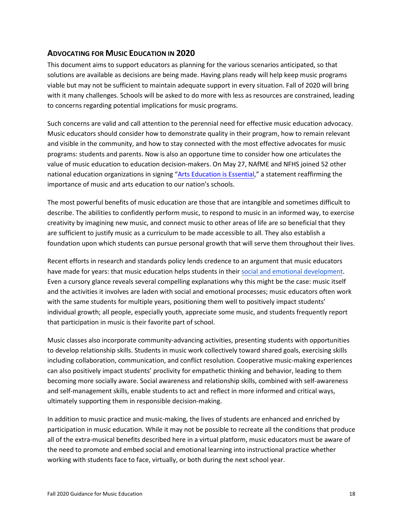## <span id="page-19-0"></span>**ADVOCATING FOR MUSIC EDUCATION IN 2020**

This document aims to support educators as planning for the various scenarios anticipated, so that solutions are available as decisions are being made. Having plans ready will help keep music programs viable but may not be sufficient to maintain adequate support in every situation. Fall of 2020 will bring with it many challenges. Schools will be asked to do more with less as resources are constrained, leading to concerns regarding potential implications for music programs.

Such concerns are valid and call attention to the perennial need for effective music education advocacy. Music educators should consider how to demonstrate quality in their program, how to remain relevant and visible in the community, and how to stay connected with the most effective advocates for music programs: students and parents. Now is also an opportune time to consider how one articulates the value of music education to education decision-makers. On May 27, NAfME and NFHS joined 52 other national education organizations in signing ["Arts Education is Essential,](https://nafme.org/wp-content/files/2020/05/Arts_Education_Is_Essential-unified-statement.pdf)" a statement reaffirming the importance of music and arts education to our nation's schools.

The most powerful benefits of music education are those that are intangible and sometimes difficult to describe. The abilities to confidently perform music, to respond to music in an informed way, to exercise creativity by imagining new music, and connect music to other areas of life are so beneficial that they are sufficient to justify music as a curriculum to be made accessible to all. They also establish a foundation upon which students can pursue personal growth that will serve them throughout their lives.

Recent efforts in research and standards policy lends credence to an argument that music educators have made for years: that music education helps students in their social [and emotional](https://nafme.org/wp-content/files/2020/05/Music-and-SEL-Pamphlet.pdf) development. Even a cursory glance reveals several compelling explanations why this might be the case: music itself and the activities it involves are laden with social and emotional processes; music educators often work with the same students for multiple years, positioning them well to positively impact students' individual growth; all people, especially youth, appreciate some music, and students frequently report that participation in music is their favorite part of school.

Music classes also incorporate community-advancing activities, presenting students with opportunities to develop relationship skills. Students in music work collectively toward shared goals, exercising skills including collaboration, communication, and conflict resolution. Cooperative music-making experiences can also positively impact students' proclivity for empathetic thinking and behavior, leading to them becoming more socially aware. Social awareness and relationship skills, combined with self-awareness and self-management skills, enable students to act and reflect in more informed and critical ways, ultimately supporting them in responsible decision-making.

In addition to music practice and music-making, the lives of students are enhanced and enriched by participation in music education. While it may not be possible to recreate all the conditions that produce all of the extra-musical benefits described here in a virtual platform, music educators must be aware of the need to promote and embed social and emotional learning into instructional practice whether working with students face to face, virtually, or both during the next school year.